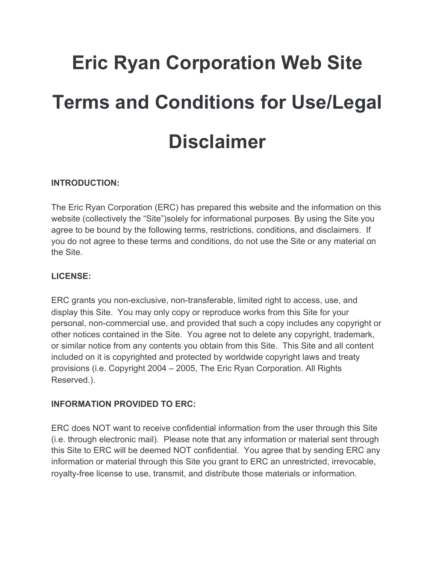# **Eric Ryan Corporation Web Site Terms and Conditions for Use/Legal Disclaimer**

## **INTRODUCTION:**

The Eric Ryan Corporation (ERC) has prepared this website and the information on this website (collectively the "Site")solely for informational purposes. By using the Site you agree to be bound by the following terms, restrictions, conditions, and disclaimers. If you do not agree to these terms and conditions, do not use the Site or any material on the Site.

## **LICENSE:**

ERC grants you non-exclusive, non-transferable, limited right to access, use, and display this Site. You may only copy or reproduce works from this Site for your personal, non-commercial use, and provided that such a copy includes any copyright or other notices contained in the Site. You agree not to delete any copyright, trademark, or similar notice from any contents you obtain from this Site. This Site and all content included on it is copyrighted and protected by worldwide copyright laws and treaty provisions (i.e. Copyright 2004 – 2005, The Eric Ryan Corporation. All Rights Reserved.).

#### **INFORMATION PROVIDED TO ERC:**

ERC does NOT want to receive confidential information from the user through this Site (i.e. through electronic mail). Please note that any information or material sent through this Site to ERC will be deemed NOT confidential. You agree that by sending ERC any information or material through this Site you grant to ERC an unrestricted, irrevocable, royalty-free license to use, transmit, and distribute those materials or information.